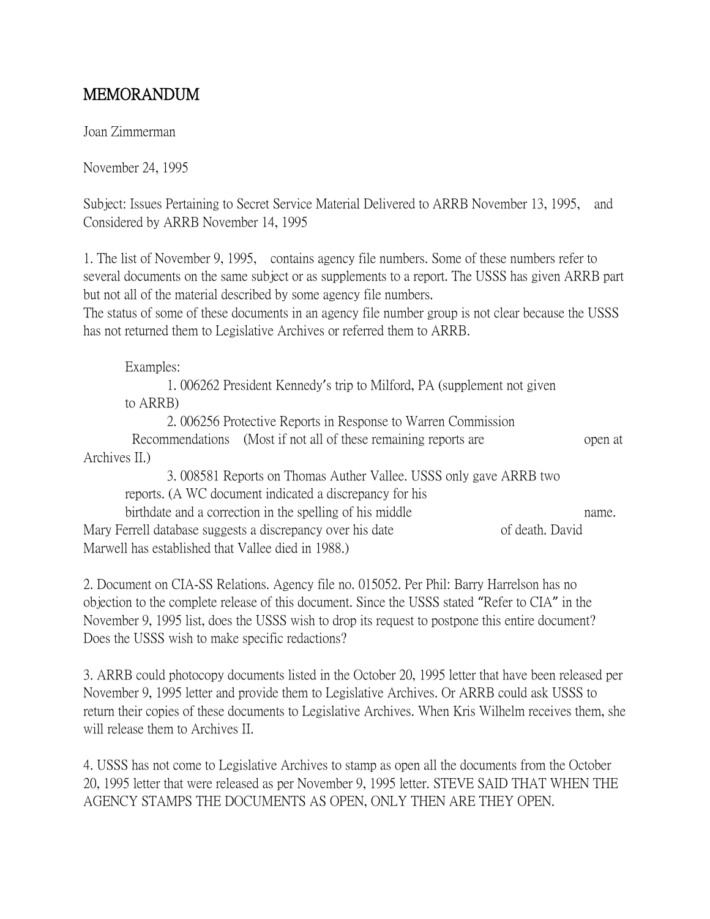## MEMORANDUM

Joan Zimmerman

November 24, 1995

Subject: Issues Pertaining to Secret Service Material Delivered to ARRB November 13, 1995, and Considered by ARRB November 14, 1995

1. The list of November 9, 1995, contains agency file numbers. Some of these numbers refer to several documents on the same subject or as supplements to a report. The USSS has given ARRB part but not all of the material described by some agency file numbers.

The status of some of these documents in an agency file number group is not clear because the USSS has not returned them to Legislative Archives or referred them to ARRB.

Examples: 1. 006262 President Kennedy's trip to Milford, PA (supplement not given to ARRB) 2. 006256 Protective Reports in Response to Warren Commission

Recommendations (Most if not all of these remaining reports are open at Archives II.)

3. 008581 Reports on Thomas Auther Vallee. USSS only gave ARRB two reports. (A WC document indicated a discrepancy for his birthdate and a correction in the spelling of his middle name. Mary Ferrell database suggests a discrepancy over his date of death. David

Marwell has established that Vallee died in 1988.)

2. Document on CIA-SS Relations. Agency file no. 015052. Per Phil: Barry Harrelson has no objection to the complete release of this document. Since the USSS stated "Refer to CIA" in the November 9, 1995 list, does the USSS wish to drop its request to postpone this entire document? Does the USSS wish to make specific redactions?

3. ARRB could photocopy documents listed in the October 20, 1995 letter that have been released per November 9, 1995 letter and provide them to Legislative Archives. Or ARRB could ask USSS to return their copies of these documents to Legislative Archives. When Kris Wilhelm receives them, she will release them to Archives II.

4. USSS has not come to Legislative Archives to stamp as open all the documents from the October 20, 1995 letter that were released as per November 9, 1995 letter. STEVE SAID THAT WHEN THE AGENCY STAMPS THE DOCUMENTS AS OPEN, ONLY THEN ARE THEY OPEN.